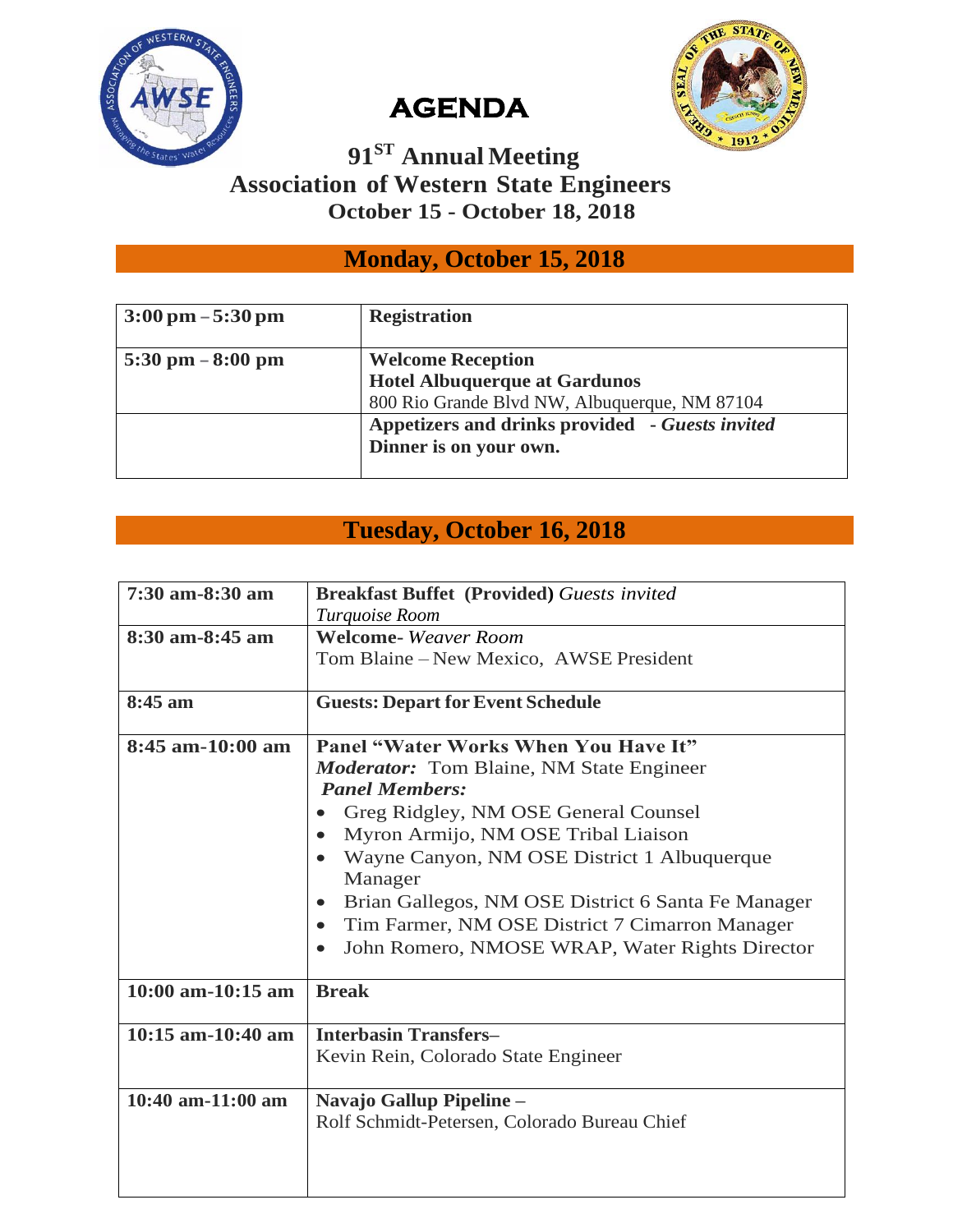



# **AGENDA**

#### **91ST Annual Meeting Association of Western State Engineers October 15 - October 18, 2018**

### **Monday, October 15, 2018**

| $3:00 \text{ pm} - 5:30 \text{ pm}$ | <b>Registration</b>                             |
|-------------------------------------|-------------------------------------------------|
| $5:30 \text{ pm} - 8:00 \text{ pm}$ | <b>Welcome Reception</b>                        |
|                                     | <b>Hotel Albuquerque at Gardunos</b>            |
|                                     | 800 Rio Grande Blvd NW, Albuquerque, NM 87104   |
|                                     | Appetizers and drinks provided - Guests invited |
|                                     | Dinner is on your own.                          |
|                                     |                                                 |

#### **Tuesday, October 16, 2018**

| 7:30 am-8:30 am     | <b>Breakfast Buffet (Provided) Guests invited</b>           |
|---------------------|-------------------------------------------------------------|
|                     | Turquoise Room                                              |
| 8:30 am-8:45 am     | <b>Welcome-</b> Weaver Room                                 |
|                     | Tom Blaine – New Mexico, AWSE President                     |
|                     |                                                             |
| 8:45 am             | <b>Guests: Depart for Event Schedule</b>                    |
|                     |                                                             |
| $8:45$ am-10:00 am  | <b>Panel "Water Works When You Have It"</b>                 |
|                     | <b>Moderator:</b> Tom Blaine, NM State Engineer             |
|                     | <b>Panel Members:</b>                                       |
|                     | Greg Ridgley, NM OSE General Counsel                        |
|                     | Myron Armijo, NM OSE Tribal Liaison                         |
|                     | Wayne Canyon, NM OSE District 1 Albuquerque                 |
|                     | Manager                                                     |
|                     | Brian Gallegos, NM OSE District 6 Santa Fe Manager          |
|                     | Tim Farmer, NM OSE District 7 Cimarron Manager              |
|                     | John Romero, NMOSE WRAP, Water Rights Director<br>$\bullet$ |
|                     |                                                             |
| $10:00$ am-10:15 am | <b>Break</b>                                                |
|                     |                                                             |
| $10:15$ am-10:40 am | <b>Interbasin Transfers-</b>                                |
|                     | Kevin Rein, Colorado State Engineer                         |
|                     |                                                             |
| $10:40$ am-11:00 am | Navajo Gallup Pipeline -                                    |
|                     | Rolf Schmidt-Petersen, Colorado Bureau Chief                |
|                     |                                                             |
|                     |                                                             |
|                     |                                                             |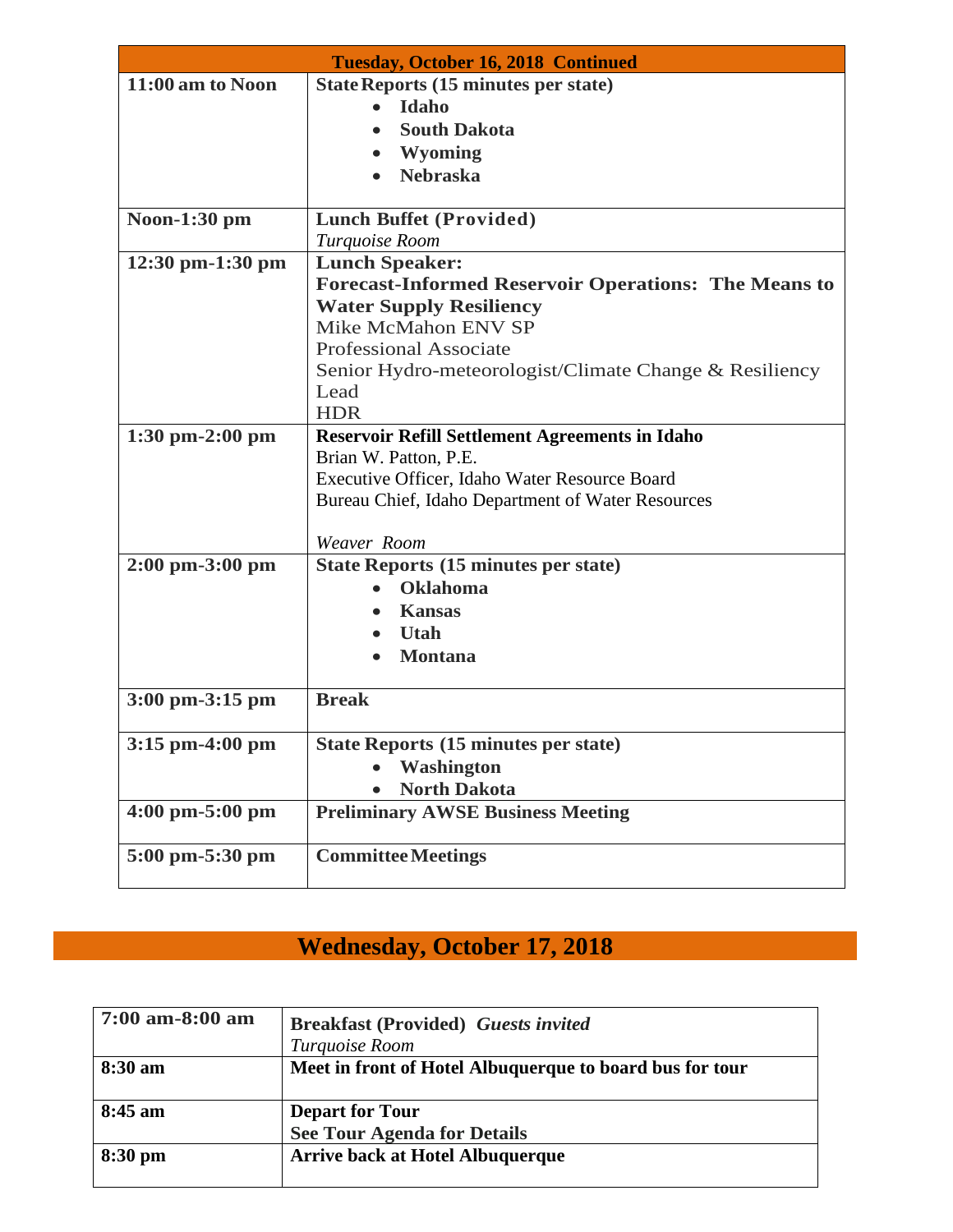| <b>Tuesday, October 16, 2018 Continued</b> |                                                             |
|--------------------------------------------|-------------------------------------------------------------|
| 11:00 am to Noon                           | State Reports (15 minutes per state)                        |
|                                            | Idaho                                                       |
|                                            | <b>South Dakota</b>                                         |
|                                            | <b>Wyoming</b>                                              |
|                                            | <b>Nebraska</b>                                             |
|                                            |                                                             |
| Noon-1:30 pm                               | <b>Lunch Buffet (Provided)</b>                              |
|                                            | Turquoise Room                                              |
| 12:30 pm-1:30 pm                           | <b>Lunch Speaker:</b>                                       |
|                                            | <b>Forecast-Informed Reservoir Operations: The Means to</b> |
|                                            | <b>Water Supply Resiliency</b>                              |
|                                            | Mike McMahon ENV SP                                         |
|                                            | <b>Professional Associate</b>                               |
|                                            | Senior Hydro-meteorologist/Climate Change & Resiliency      |
|                                            | Lead                                                        |
|                                            | <b>HDR</b>                                                  |
| $1:30$ pm $-2:00$ pm                       | <b>Reservoir Refill Settlement Agreements in Idaho</b>      |
|                                            | Brian W. Patton, P.E.                                       |
|                                            | Executive Officer, Idaho Water Resource Board               |
|                                            | Bureau Chief, Idaho Department of Water Resources           |
|                                            |                                                             |
|                                            | Weaver Room                                                 |
| $2:00 \text{ pm}-3:00 \text{ pm}$          | <b>State Reports (15 minutes per state)</b>                 |
|                                            | <b>Oklahoma</b>                                             |
|                                            | <b>Kansas</b>                                               |
|                                            | <b>Utah</b>                                                 |
|                                            | <b>Montana</b>                                              |
| 3:00 pm-3:15 pm                            | <b>Break</b>                                                |
|                                            |                                                             |
| $3:15$ pm-4:00 pm                          | <b>State Reports (15 minutes per state)</b>                 |
|                                            | <b>Washington</b>                                           |
|                                            | <b>North Dakota</b>                                         |
| $4:00 \text{ pm}-5:00 \text{ pm}$          | <b>Preliminary AWSE Business Meeting</b>                    |
| $5:00 \text{ pm}-5:30 \text{ pm}$          | <b>Committee Meetings</b>                                   |
|                                            |                                                             |

# **Wednesday, October 17, 2018**

| $7:00$ am-8:00 am | <b>Breakfast (Provided)</b> Guests invited               |
|-------------------|----------------------------------------------------------|
|                   | Turquoise Room                                           |
| $8:30 \text{ am}$ | Meet in front of Hotel Albuquerque to board bus for tour |
| $8:45$ am         | <b>Depart for Tour</b>                                   |
|                   | <b>See Tour Agenda for Details</b>                       |
| $8:30 \text{ pm}$ | <b>Arrive back at Hotel Albuquerque</b>                  |
|                   |                                                          |